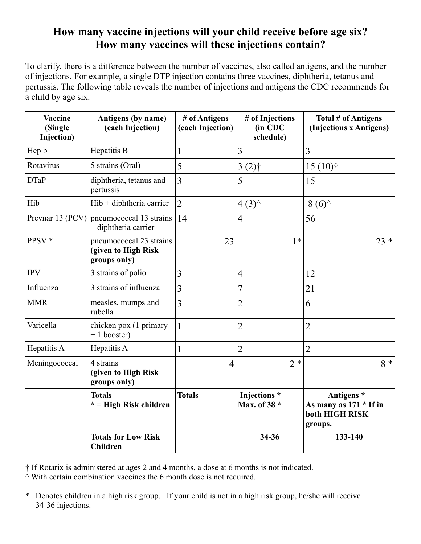## **How many vaccine injections will your child receive before age six? How many vaccines will these injections contain?**

To clarify, there is a difference between the number of vaccines, also called antigens, and the number of injections. For example, a single DTP injection contains three vaccines, diphtheria, tetanus and pertussis. The following table reveals the number of injections and antigens the CDC recommends for a child by age six.

| <b>Vaccine</b><br>(Single<br>Injection) | Antigens (by name)<br>(each Injection)                         | # of Antigens<br>(each Injection) | # of Injections<br>(in CDC<br>schedule) | Total # of Antigens<br>(Injections x Antigens)                      |
|-----------------------------------------|----------------------------------------------------------------|-----------------------------------|-----------------------------------------|---------------------------------------------------------------------|
| Hep b                                   | Hepatitis B                                                    | $\mathbf{1}$                      | 3                                       | $\overline{3}$                                                      |
| Rotavirus                               | 5 strains (Oral)                                               | 5                                 | $3(2)$ †                                | $15(10)$ †                                                          |
| <b>DTaP</b>                             | diphtheria, tetanus and<br>pertussis                           | 3                                 | 5                                       | 15                                                                  |
| Hib                                     | $Hib + diphtheria carrier$                                     | $\overline{2}$                    | $4(3)^{A}$                              | $8(6)^\wedge$                                                       |
| Prevnar 13 (PCV)                        | pneumococcal 13 strains<br>+ diphtheria carrier                | 14                                | $\overline{4}$                          | 56                                                                  |
| PPSV *                                  | pneumococcal 23 strains<br>(given to High Risk<br>groups only) | 23                                | $1*$                                    | $23 *$                                                              |
| <b>IPV</b>                              | 3 strains of polio                                             | 3                                 | $\overline{4}$                          | 12                                                                  |
| Influenza                               | 3 strains of influenza                                         | 3                                 | 7                                       | 21                                                                  |
| <b>MMR</b>                              | measles, mumps and<br>rubella                                  | $\overline{3}$                    | $\overline{2}$                          | 6                                                                   |
| Varicella                               | chicken pox (1 primary<br>$+1$ booster)                        | $\mathbf{1}$                      | $\overline{2}$                          | $\overline{2}$                                                      |
| Hepatitis A                             | Hepatitis A                                                    | $\mathbf{1}$                      | $\overline{2}$                          | $\overline{2}$                                                      |
| Meningococcal                           | 4 strains<br>(given to High Risk<br>groups only)               | $\overline{4}$                    | $2 *$                                   | $8 *$                                                               |
|                                         | <b>Totals</b><br>$* =$ High Risk children                      | <b>Totals</b>                     | Injections *<br>Max. of 38 *            | Antigens *<br>As many as $171 * If in$<br>both HIGH RISK<br>groups. |
|                                         | <b>Totals for Low Risk</b><br><b>Children</b>                  |                                   | 34-36                                   | 133-140                                                             |

† If Rotarix is administered at ages 2 and 4 months, a dose at 6 months is not indicated.

 $\land$  With certain combination vaccines the 6 month dose is not required.

\* Denotes children in a high risk group. If your child is not in a high risk group, he/she will receive 34-36 injections.